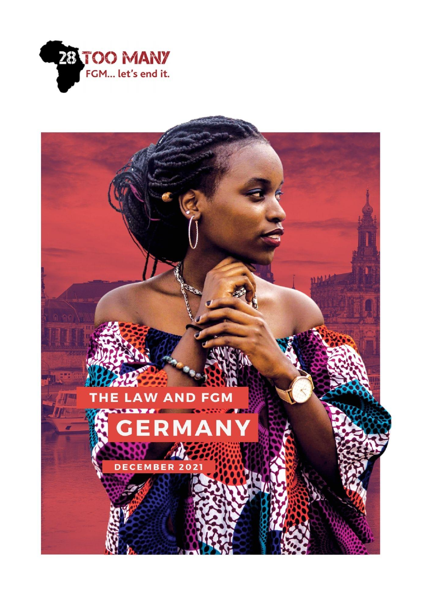

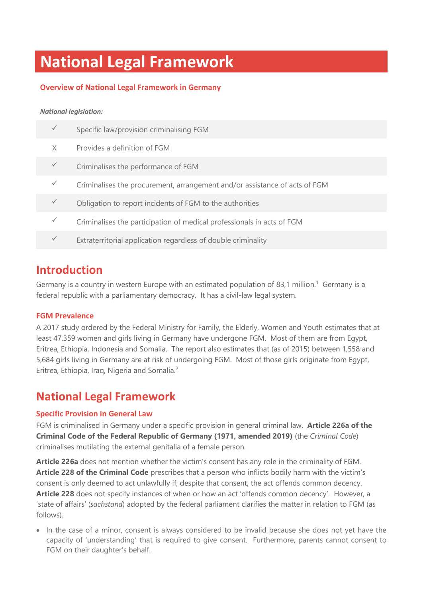# **National Legal Framework**

### **Overview of National Legal Framework in Germany**

#### *National legislation:*

|   | Specific law/provision criminalising FGM                                   |
|---|----------------------------------------------------------------------------|
| X | Provides a definition of FGM                                               |
|   | Criminalises the performance of FGM                                        |
|   | Criminalises the procurement, arrangement and/or assistance of acts of FGM |
|   | Obligation to report incidents of FGM to the authorities                   |
|   | Criminalises the participation of medical professionals in acts of FGM     |
|   | Extraterritorial application regardless of double criminality              |

## **Introduction**

Germany is a country in western Europe with an estimated population of 83,1 million.<sup>1</sup> Germany is a federal republic with a parliamentary democracy. It has a civil-law legal system.

#### **FGM Prevalence**

A 2017 study ordered by the Federal Ministry for Family, the Elderly, Women and Youth estimates that at least 47,359 women and girls living in Germany have undergone FGM. Most of them are from Egypt, Eritrea, Ethiopia, Indonesia and Somalia. The report also estimates that (as of 2015) between 1,558 and 5,684 girls living in Germany are at risk of undergoing FGM. Most of those girls originate from Egypt, Eritrea, Ethiopia, Iraq, Nigeria and Somalia.<sup>2</sup>

## **National Legal Framework**

#### **Specific Provision in General Law**

FGM is criminalised in Germany under a specific provision in general criminal law. **Article 226a of the Criminal Code of the Federal Republic of Germany (1971, amended 2019)** (the *Criminal Code*) criminalises mutilating the external genitalia of a female person.

**Article 226a** does not mention whether the victim's consent has any role in the criminality of FGM. **Article 228 of the Criminal Code** prescribes that a person who inflicts bodily harm with the victim's consent is only deemed to act unlawfully if, despite that consent, the act offends common decency. **Article 228** does not specify instances of when or how an act 'offends common decency'. However, a 'state of affairs' (*sachstand*) adopted by the federal parliament clarifies the matter in relation to FGM (as follows).

• In the case of a minor, consent is always considered to be invalid because she does not yet have the capacity of 'understanding' that is required to give consent. Furthermore, parents cannot consent to FGM on their daughter's behalf.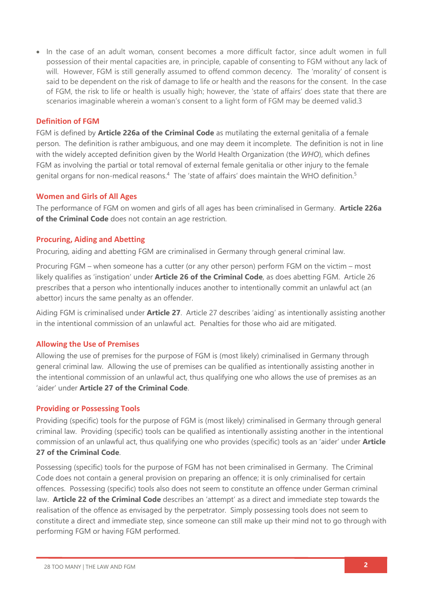• In the case of an adult woman, consent becomes a more difficult factor, since adult women in full possession of their mental capacities are, in principle, capable of consenting to FGM without any lack of will. However, FGM is still generally assumed to offend common decency. The 'morality' of consent is said to be dependent on the risk of damage to life or health and the reasons for the consent. In the case of FGM, the risk to life or health is usually high; however, the 'state of affairs' does state that there are scenarios imaginable wherein a woman's consent to a light form of FGM may be deemed valid.3

#### **Definition of FGM**

FGM is defined by **Article 226a of the Criminal Code** as mutilating the external genitalia of a female person. The definition is rather ambiguous, and one may deem it incomplete. The definition is not in line with the widely accepted definition given by the World Health Organization (the *WHO*), which defines FGM as involving the partial or total removal of external female genitalia or other injury to the female genital organs for non-medical reasons.<sup>4</sup> The 'state of affairs' does maintain the WHO definition.<sup>5</sup>

#### **Women and Girls of All Ages**

The performance of FGM on women and girls of all ages has been criminalised in Germany. **Article 226a of the Criminal Code** does not contain an age restriction.

#### **Procuring, Aiding and Abetting**

Procuring, aiding and abetting FGM are criminalised in Germany through general criminal law.

Procuring FGM – when someone has a cutter (or any other person) perform FGM on the victim – most likely qualifies as 'instigation' under **Article 26 of the Criminal Code**, as does abetting FGM. Article 26 prescribes that a person who intentionally induces another to intentionally commit an unlawful act (an abettor) incurs the same penalty as an offender.

Aiding FGM is criminalised under **Article 27**. Article 27 describes 'aiding' as intentionally assisting another in the intentional commission of an unlawful act. Penalties for those who aid are mitigated.

#### **Allowing the Use of Premises**

Allowing the use of premises for the purpose of FGM is (most likely) criminalised in Germany through general criminal law. Allowing the use of premises can be qualified as intentionally assisting another in the intentional commission of an unlawful act, thus qualifying one who allows the use of premises as an 'aider' under **Article 27 of the Criminal Code**.

#### **Providing or Possessing Tools**

Providing (specific) tools for the purpose of FGM is (most likely) criminalised in Germany through general criminal law. Providing (specific) tools can be qualified as intentionally assisting another in the intentional commission of an unlawful act, thus qualifying one who provides (specific) tools as an 'aider' under **Article 27 of the Criminal Code**.

Possessing (specific) tools for the purpose of FGM has not been criminalised in Germany. The Criminal Code does not contain a general provision on preparing an offence; it is only criminalised for certain offences. Possessing (specific) tools also does not seem to constitute an offence under German criminal law. **Article 22 of the Criminal Code** describes an 'attempt' as a direct and immediate step towards the realisation of the offence as envisaged by the perpetrator. Simply possessing tools does not seem to constitute a direct and immediate step, since someone can still make up their mind not to go through with performing FGM or having FGM performed.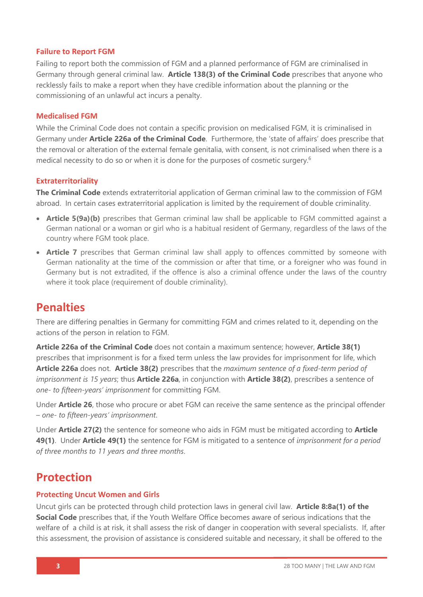#### **Failure to Report FGM**

Failing to report both the commission of FGM and a planned performance of FGM are criminalised in Germany through general criminal law. **Article 138(3) of the Criminal Code** prescribes that anyone who recklessly fails to make a report when they have credible information about the planning or the commissioning of an unlawful act incurs a penalty.

#### **Medicalised FGM**

While the Criminal Code does not contain a specific provision on medicalised FGM, it is criminalised in Germany under **Article 226a of the Criminal Code**. Furthermore, the 'state of affairs' does prescribe that the removal or alteration of the external female genitalia, with consent, is not criminalised when there is a medical necessity to do so or when it is done for the purposes of cosmetic surgery.<sup>6</sup>

#### **Extraterritoriality**

**The Criminal Code** extends extraterritorial application of German criminal law to the commission of FGM abroad. In certain cases extraterritorial application is limited by the requirement of double criminality.

- **Article 5(9a)(b)** prescribes that German criminal law shall be applicable to FGM committed against a German national or a woman or girl who is a habitual resident of Germany, regardless of the laws of the country where FGM took place.
- **Article 7** prescribes that German criminal law shall apply to offences committed by someone with German nationality at the time of the commission or after that time, or a foreigner who was found in Germany but is not extradited, if the offence is also a criminal offence under the laws of the country where it took place (requirement of double criminality).

### **Penalties**

There are differing penalties in Germany for committing FGM and crimes related to it, depending on the actions of the person in relation to FGM.

**Article 226a of the Criminal Code** does not contain a maximum sentence; however, **Article 38(1)** prescribes that imprisonment is for a fixed term unless the law provides for imprisonment for life, which **Article 226a** does not. **Article 38(2)** prescribes that the *maximum sentence of a fixed-term period of imprisonment is 15 years*; thus **Article 226a**, in conjunction with **Article 38(2)**, prescribes a sentence of *one- to fifteen-years' imprisonment* for committing FGM.

Under **Article 26**, those who procure or abet FGM can receive the same sentence as the principal offender – *one- to fifteen-years' imprisonment*.

Under **Article 27(2)** the sentence for someone who aids in FGM must be mitigated according to **Article 49(1)**. Under **Article 49(1)** the sentence for FGM is mitigated to a sentence of *imprisonment for a period of three months to 11 years and three months*.

## **Protection**

#### **Protecting Uncut Women and Girls**

Uncut girls can be protected through child protection laws in general civil law. **Article 8:8a(1) of the Social Code** prescribes that, if the Youth Welfare Office becomes aware of serious indications that the welfare of a child is at risk, it shall assess the risk of danger in cooperation with several specialists. If, after this assessment, the provision of assistance is considered suitable and necessary, it shall be offered to the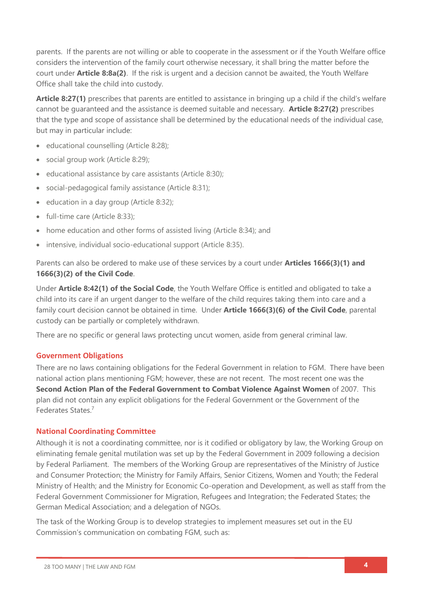parents. If the parents are not willing or able to cooperate in the assessment or if the Youth Welfare office considers the intervention of the family court otherwise necessary, it shall bring the matter before the court under **Article 8:8a(2)**. If the risk is urgent and a decision cannot be awaited, the Youth Welfare Office shall take the child into custody.

**Article 8:27(1)** prescribes that parents are entitled to assistance in bringing up a child if the child's welfare cannot be guaranteed and the assistance is deemed suitable and necessary. **Article 8:27(2)** prescribes that the type and scope of assistance shall be determined by the educational needs of the individual case, but may in particular include:

- educational counselling (Article 8:28);
- social group work (Article 8:29);
- educational assistance by care assistants (Article 8:30);
- social-pedagogical family assistance (Article 8:31);
- education in a day group (Article 8:32);
- full-time care (Article 8:33);
- home education and other forms of assisted living (Article 8:34); and
- intensive, individual socio-educational support (Article 8:35).

Parents can also be ordered to make use of these services by a court under **Articles 1666(3)(1) and 1666(3)(2) of the Civil Code**.

Under **Article 8:42(1) of the Social Code**, the Youth Welfare Office is entitled and obligated to take a child into its care if an urgent danger to the welfare of the child requires taking them into care and a family court decision cannot be obtained in time. Under **Article 1666(3)(6) of the Civil Code**, parental custody can be partially or completely withdrawn.

There are no specific or general laws protecting uncut women, aside from general criminal law.

#### **Government Obligations**

There are no laws containing obligations for the Federal Government in relation to FGM. There have been national action plans mentioning FGM; however, these are not recent. The most recent one was the **Second Action Plan of the Federal Government to Combat Violence Against Women** of 2007. This plan did not contain any explicit obligations for the Federal Government or the Government of the Federates States<sup>7</sup>

#### **National Coordinating Committee**

Although it is not a coordinating committee, nor is it codified or obligatory by law, the Working Group on eliminating female genital mutilation was set up by the Federal Government in 2009 following a decision by Federal Parliament. The members of the Working Group are representatives of the Ministry of Justice and Consumer Protection; the Ministry for Family Affairs, Senior Citizens, Women and Youth; the Federal Ministry of Health; and the Ministry for Economic Co-operation and Development, as well as staff from the Federal Government Commissioner for Migration, Refugees and Integration; the Federated States; the German Medical Association; and a delegation of NGOs.

The task of the Working Group is to develop strategies to implement measures set out in the EU Commission's communication on combating FGM, such as: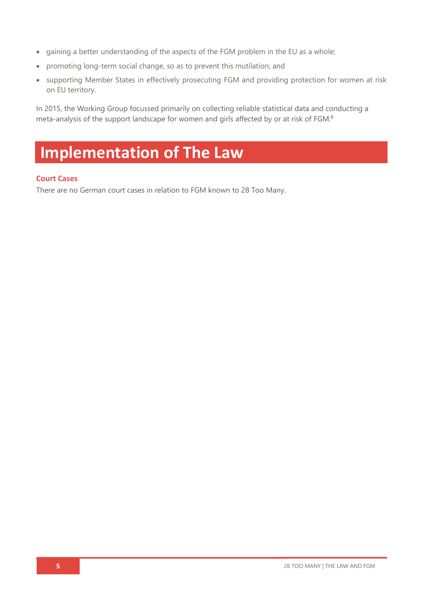- gaining a better understanding of the aspects of the FGM problem in the EU as a whole;
- promoting long-term social change, so as to prevent this mutilation; and
- supporting Member States in effectively prosecuting FGM and providing protection for women at risk on EU territory.

In 2015, the Working Group focussed primarily on collecting reliable statistical data and conducting a meta-analysis of the support landscape for women and girls affected by or at risk of FGM.<sup>8</sup>

# **Implementation of The Law**

#### **Court Cases**

There are no German court cases in relation to FGM known to 28 Too Many.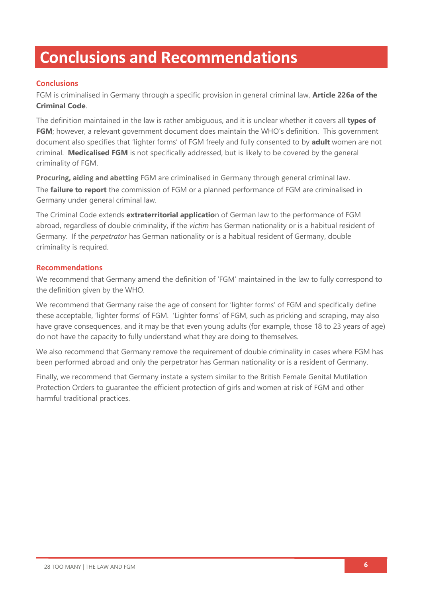# **Conclusions and Recommendations**

### **Conclusions**

FGM is criminalised in Germany through a specific provision in general criminal law, **Article 226a of the Criminal Code**.

The definition maintained in the law is rather ambiguous, and it is unclear whether it covers all **types of FGM**; however, a relevant government document does maintain the WHO's definition. This government document also specifies that 'lighter forms' of FGM freely and fully consented to by **adult** women are not criminal. **Medicalised FGM** is not specifically addressed, but is likely to be covered by the general criminality of FGM.

**Procuring, aiding and abetting** FGM are criminalised in Germany through general criminal law. The **failure to report** the commission of FGM or a planned performance of FGM are criminalised in Germany under general criminal law.

The Criminal Code extends **extraterritorial applicatio**n of German law to the performance of FGM abroad, regardless of double criminality, if the *victim* has German nationality or is a habitual resident of Germany. If the *perpetrator* has German nationality or is a habitual resident of Germany, double criminality is required.

#### **Recommendations**

We recommend that Germany amend the definition of 'FGM' maintained in the law to fully correspond to the definition given by the WHO.

We recommend that Germany raise the age of consent for 'lighter forms' of FGM and specifically define these acceptable, 'lighter forms' of FGM. 'Lighter forms' of FGM, such as pricking and scraping, may also have grave consequences, and it may be that even young adults (for example, those 18 to 23 years of age) do not have the capacity to fully understand what they are doing to themselves.

We also recommend that Germany remove the requirement of double criminality in cases where FGM has been performed abroad and only the perpetrator has German nationality or is a resident of Germany.

Finally, we recommend that Germany instate a system similar to the British Female Genital Mutilation Protection Orders to guarantee the efficient protection of girls and women at risk of FGM and other harmful traditional practices.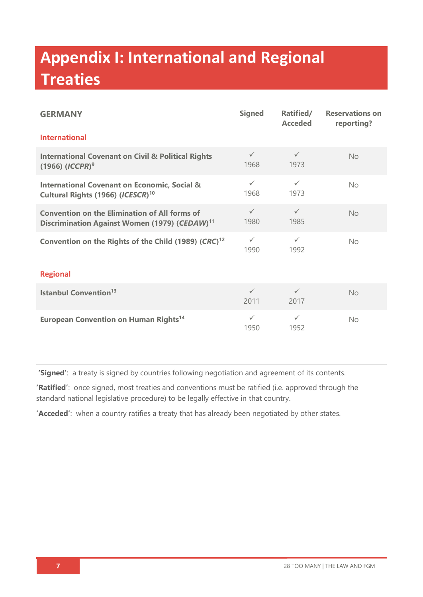# **Appendix I: International and Regional Treaties**

| <b>GERMANY</b>                                                                                                    | <b>Signed</b>        | Ratified/<br><b>Acceded</b> | <b>Reservations on</b><br>reporting? |  |  |
|-------------------------------------------------------------------------------------------------------------------|----------------------|-----------------------------|--------------------------------------|--|--|
| <b>International</b>                                                                                              |                      |                             |                                      |  |  |
| <b>International Covenant on Civil &amp; Political Rights</b><br>$(1966)$ ( <i>ICCPR</i> ) <sup>9</sup>           | $\checkmark$<br>1968 | $\checkmark$<br>1973        | <b>No</b>                            |  |  |
| <b>International Covenant on Economic, Social &amp;</b><br>Cultural Rights (1966) (ICESCR) <sup>10</sup>          | $\checkmark$<br>1968 | $\checkmark$<br>1973        | <b>No</b>                            |  |  |
| <b>Convention on the Elimination of All forms of</b><br>Discrimination Against Women (1979) (CEDAW) <sup>11</sup> | $\checkmark$<br>1980 | $\checkmark$<br>1985        | <b>No</b>                            |  |  |
| Convention on the Rights of the Child (1989) (CRC) <sup>12</sup>                                                  | $\checkmark$<br>1990 | $\checkmark$<br>1992        | No.                                  |  |  |
| <b>Regional</b>                                                                                                   |                      |                             |                                      |  |  |
| <b>Istanbul Convention</b> <sup>13</sup>                                                                          | $\checkmark$<br>2011 | $\checkmark$<br>2017        | <b>No</b>                            |  |  |
| <b>European Convention on Human Rights<sup>14</sup></b>                                                           | $\checkmark$<br>1950 | $\checkmark$<br>1952        | <b>No</b>                            |  |  |

**'Signed'**: a treaty is signed by countries following negotiation and agreement of its contents.

**'Ratified'**: once signed, most treaties and conventions must be ratified (i.e. approved through the standard national legislative procedure) to be legally effective in that country.

**'Acceded'**: when a country ratifies a treaty that has already been negotiated by other states.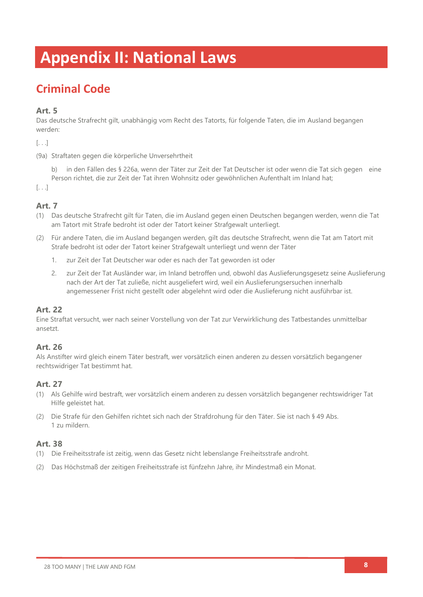# **Appendix II: National Laws**

## **Criminal Code**

### **Art. 5**

Das deutsche Strafrecht gilt, unabhängig vom Recht des Tatorts, für folgende Taten, die im Ausland begangen werden:

[. . .]

(9a) Straftaten gegen die körperliche Unversehrtheit

b) in den Fällen des § 226a, wenn der Täter zur Zeit der Tat Deutscher ist oder wenn die Tat sich gegen eine Person richtet, die zur Zeit der Tat ihren Wohnsitz oder gewöhnlichen Aufenthalt im Inland hat;

[. . .]

### **Art. 7**

- (1) Das deutsche Strafrecht gilt für Taten, die im Ausland gegen einen Deutschen begangen werden, wenn die Tat am Tatort mit Strafe bedroht ist oder der Tatort keiner Strafgewalt unterliegt.
- (2) Für andere Taten, die im Ausland begangen werden, gilt das deutsche Strafrecht, wenn die Tat am Tatort mit Strafe bedroht ist oder der Tatort keiner Strafgewalt unterliegt und wenn der Täter
	- 1. zur Zeit der Tat Deutscher war oder es nach der Tat geworden ist oder
	- 2. zur Zeit der Tat Ausländer war, im Inland betroffen und, obwohl das Auslieferungsgesetz seine Auslieferung nach der Art der Tat zuließe, nicht ausgeliefert wird, weil ein Auslieferungsersuchen innerhalb angemessener Frist nicht gestellt oder abgelehnt wird oder die Auslieferung nicht ausführbar ist.

#### **Art. 22**

Eine Straftat versucht, wer nach seiner Vorstellung von der Tat zur Verwirklichung des Tatbestandes unmittelbar ansetzt.

#### **Art. 26**

Als Anstifter wird gleich einem Täter bestraft, wer vorsätzlich einen anderen zu dessen vorsätzlich begangener rechtswidriger Tat bestimmt hat.

#### **Art. 27**

- (1) Als Gehilfe wird bestraft, wer vorsätzlich einem anderen zu dessen vorsätzlich begangener rechtswidriger Tat Hilfe geleistet hat.
- (2) Die Strafe für den Gehilfen richtet sich nach der Strafdrohung für den Täter. Sie ist nach § 49 Abs. 1 zu mildern.

#### **Art. 38**

- (1) Die Freiheitsstrafe ist zeitig, wenn das Gesetz nicht lebenslange Freiheitsstrafe androht.
- (2) Das Höchstmaß der zeitigen Freiheitsstrafe ist fünfzehn Jahre, ihr Mindestmaß ein Monat.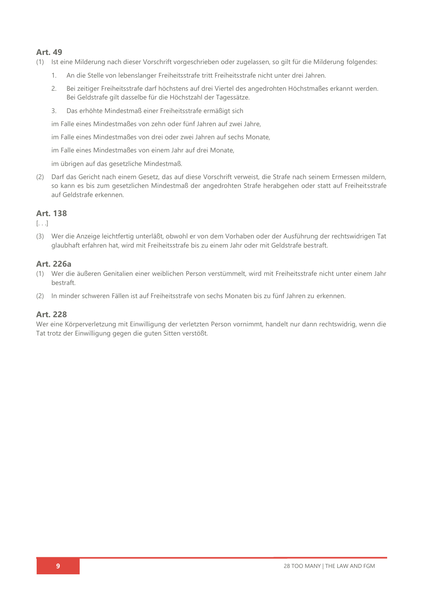#### **Art. 49**

- (1) Ist eine Milderung nach dieser Vorschrift vorgeschrieben oder zugelassen, so gilt für die Milderung folgendes:
	- 1. An die Stelle von lebenslanger Freiheitsstrafe tritt Freiheitsstrafe nicht unter drei Jahren.
	- 2. Bei zeitiger Freiheitsstrafe darf höchstens auf drei Viertel des angedrohten Höchstmaßes erkannt werden. Bei Geldstrafe gilt dasselbe für die Höchstzahl der Tagessätze.
	- 3. Das erhöhte Mindestmaß einer Freiheitsstrafe ermäßigt sich

im Falle eines Mindestmaßes von zehn oder fünf Jahren auf zwei Jahre,

im Falle eines Mindestmaßes von drei oder zwei Jahren auf sechs Monate,

im Falle eines Mindestmaßes von einem Jahr auf drei Monate,

im übrigen auf das gesetzliche Mindestmaß.

(2) Darf das Gericht nach einem Gesetz, das auf diese Vorschrift verweist, die Strafe nach seinem Ermessen mildern, so kann es bis zum gesetzlichen Mindestmaß der angedrohten Strafe herabgehen oder statt auf Freiheitsstrafe auf Geldstrafe erkennen.

#### **Art. 138**

 $\left[ \ldots \right]$ 

(3) Wer die Anzeige leichtfertig unterläßt, obwohl er von dem Vorhaben oder der Ausführung der rechtswidrigen Tat glaubhaft erfahren hat, wird mit Freiheitsstrafe bis zu einem Jahr oder mit Geldstrafe bestraft.

#### **Art. 226a**

- (1) Wer die äußeren Genitalien einer weiblichen Person verstümmelt, wird mit Freiheitsstrafe nicht unter einem Jahr bestraft.
- (2) In minder schweren Fällen ist auf Freiheitsstrafe von sechs Monaten bis zu fünf Jahren zu erkennen.

#### **Art. 228**

Wer eine Körperverletzung mit Einwilligung der verletzten Person vornimmt, handelt nur dann rechtswidrig, wenn die Tat trotz der Einwilligung gegen die guten Sitten verstößt.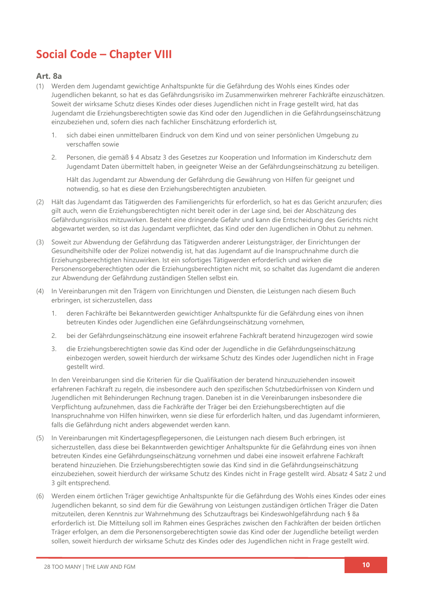## **Social Code – Chapter VIII**

#### **Art. 8a**

- (1) Werden dem Jugendamt gewichtige Anhaltspunkte für die Gefährdung des Wohls eines Kindes oder Jugendlichen bekannt, so hat es das Gefährdungsrisiko im Zusammenwirken mehrerer Fachkräfte einzuschätzen. Soweit der wirksame Schutz dieses Kindes oder dieses Jugendlichen nicht in Frage gestellt wird, hat das Jugendamt die Erziehungsberechtigten sowie das Kind oder den Jugendlichen in die Gefährdungseinschätzung einzubeziehen und, sofern dies nach fachlicher Einschätzung erforderlich ist,
	- 1. sich dabei einen unmittelbaren Eindruck von dem Kind und von seiner persönlichen Umgebung zu verschaffen sowie
	- 2. Personen, die gemäß § 4 Absatz 3 des Gesetzes zur Kooperation und Information im Kinderschutz dem Jugendamt Daten übermittelt haben, in geeigneter Weise an der Gefährdungseinschätzung zu beteiligen.

Hält das Jugendamt zur Abwendung der Gefährdung die Gewährung von Hilfen für geeignet und notwendig, so hat es diese den Erziehungsberechtigten anzubieten.

- (2) Hält das Jugendamt das Tätigwerden des Familiengerichts für erforderlich, so hat es das Gericht anzurufen; dies gilt auch, wenn die Erziehungsberechtigten nicht bereit oder in der Lage sind, bei der Abschätzung des Gefährdungsrisikos mitzuwirken. Besteht eine dringende Gefahr und kann die Entscheidung des Gerichts nicht abgewartet werden, so ist das Jugendamt verpflichtet, das Kind oder den Jugendlichen in Obhut zu nehmen.
- (3) Soweit zur Abwendung der Gefährdung das Tätigwerden anderer Leistungsträger, der Einrichtungen der Gesundheitshilfe oder der Polizei notwendig ist, hat das Jugendamt auf die Inanspruchnahme durch die Erziehungsberechtigten hinzuwirken. Ist ein sofortiges Tätigwerden erforderlich und wirken die Personensorgeberechtigten oder die Erziehungsberechtigten nicht mit, so schaltet das Jugendamt die anderen zur Abwendung der Gefährdung zuständigen Stellen selbst ein.
- (4) In Vereinbarungen mit den Trägern von Einrichtungen und Diensten, die Leistungen nach diesem Buch erbringen, ist sicherzustellen, dass
	- 1. deren Fachkräfte bei Bekanntwerden gewichtiger Anhaltspunkte für die Gefährdung eines von ihnen betreuten Kindes oder Jugendlichen eine Gefährdungseinschätzung vornehmen,
	- 2. bei der Gefährdungseinschätzung eine insoweit erfahrene Fachkraft beratend hinzugezogen wird sowie
	- 3. die Erziehungsberechtigten sowie das Kind oder der Jugendliche in die Gefährdungseinschätzung einbezogen werden, soweit hierdurch der wirksame Schutz des Kindes oder Jugendlichen nicht in Frage gestellt wird.

In den Vereinbarungen sind die Kriterien für die Qualifikation der beratend hinzuzuziehenden insoweit erfahrenen Fachkraft zu regeln, die insbesondere auch den spezifischen Schutzbedürfnissen von Kindern und Jugendlichen mit Behinderungen Rechnung tragen. Daneben ist in die Vereinbarungen insbesondere die Verpflichtung aufzunehmen, dass die Fachkräfte der Träger bei den Erziehungsberechtigten auf die Inanspruchnahme von Hilfen hinwirken, wenn sie diese für erforderlich halten, und das Jugendamt informieren, falls die Gefährdung nicht anders abgewendet werden kann.

- (5) In Vereinbarungen mit Kindertagespflegepersonen, die Leistungen nach diesem Buch erbringen, ist sicherzustellen, dass diese bei Bekanntwerden gewichtiger Anhaltspunkte für die Gefährdung eines von ihnen betreuten Kindes eine Gefährdungseinschätzung vornehmen und dabei eine insoweit erfahrene Fachkraft beratend hinzuziehen. Die Erziehungsberechtigten sowie das Kind sind in die Gefährdungseinschätzung einzubeziehen, soweit hierdurch der wirksame Schutz des Kindes nicht in Frage gestellt wird. Absatz 4 Satz 2 und 3 gilt entsprechend.
- (6) Werden einem örtlichen Träger gewichtige Anhaltspunkte für die Gefährdung des Wohls eines Kindes oder eines Jugendlichen bekannt, so sind dem für die Gewährung von Leistungen zuständigen örtlichen Träger die Daten mitzuteilen, deren Kenntnis zur Wahrnehmung des Schutzauftrags bei Kindeswohlgefährdung nach § 8a erforderlich ist. Die Mitteilung soll im Rahmen eines Gespräches zwischen den Fachkräften der beiden örtlichen Träger erfolgen, an dem die Personensorgeberechtigten sowie das Kind oder der Jugendliche beteiligt werden sollen, soweit hierdurch der wirksame Schutz des Kindes oder des Jugendlichen nicht in Frage gestellt wird.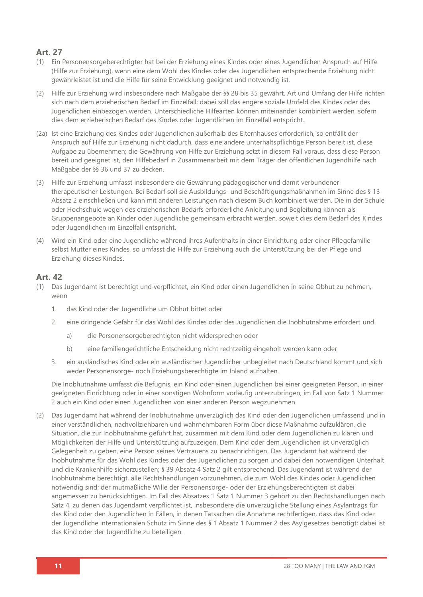#### **Art. 27**

- (1) Ein Personensorgeberechtigter hat bei der Erziehung eines Kindes oder eines Jugendlichen Anspruch auf Hilfe (Hilfe zur Erziehung), wenn eine dem Wohl des Kindes oder des Jugendlichen entsprechende Erziehung nicht gewährleistet ist und die Hilfe für seine Entwicklung geeignet und notwendig ist.
- (2) Hilfe zur Erziehung wird insbesondere nach Maßgabe der §§ 28 bis 35 gewährt. Art und Umfang der Hilfe richten sich nach dem erzieherischen Bedarf im Einzelfall; dabei soll das engere soziale Umfeld des Kindes oder des Jugendlichen einbezogen werden. Unterschiedliche Hilfearten können miteinander kombiniert werden, sofern dies dem erzieherischen Bedarf des Kindes oder Jugendlichen im Einzelfall entspricht.
- (2a) Ist eine Erziehung des Kindes oder Jugendlichen außerhalb des Elternhauses erforderlich, so entfällt der Anspruch auf Hilfe zur Erziehung nicht dadurch, dass eine andere unterhaltspflichtige Person bereit ist, diese Aufgabe zu übernehmen; die Gewährung von Hilfe zur Erziehung setzt in diesem Fall voraus, dass diese Person bereit und geeignet ist, den Hilfebedarf in Zusammenarbeit mit dem Träger der öffentlichen Jugendhilfe nach Maßgabe der §§ 36 und 37 zu decken.
- (3) Hilfe zur Erziehung umfasst insbesondere die Gewährung pädagogischer und damit verbundener therapeutischer Leistungen. Bei Bedarf soll sie Ausbildungs- und Beschäftigungsmaßnahmen im Sinne des § 13 Absatz 2 einschließen und kann mit anderen Leistungen nach diesem Buch kombiniert werden. Die in der Schule oder Hochschule wegen des erzieherischen Bedarfs erforderliche Anleitung und Begleitung können als Gruppenangebote an Kinder oder Jugendliche gemeinsam erbracht werden, soweit dies dem Bedarf des Kindes oder Jugendlichen im Einzelfall entspricht.
- (4) Wird ein Kind oder eine Jugendliche während ihres Aufenthalts in einer Einrichtung oder einer Pflegefamilie selbst Mutter eines Kindes, so umfasst die Hilfe zur Erziehung auch die Unterstützung bei der Pflege und Erziehung dieses Kindes.

#### **Art. 42**

- (1) Das Jugendamt ist berechtigt und verpflichtet, ein Kind oder einen Jugendlichen in seine Obhut zu nehmen, wenn
	- 1. das Kind oder der Jugendliche um Obhut bittet oder
	- 2. eine dringende Gefahr für das Wohl des Kindes oder des Jugendlichen die Inobhutnahme erfordert und
		- a) die Personensorgeberechtigten nicht widersprechen oder
		- b) eine familiengerichtliche Entscheidung nicht rechtzeitig eingeholt werden kann oder
	- 3. ein ausländisches Kind oder ein ausländischer Jugendlicher unbegleitet nach Deutschland kommt und sich weder Personensorge- noch Erziehungsberechtigte im Inland aufhalten.

Die Inobhutnahme umfasst die Befugnis, ein Kind oder einen Jugendlichen bei einer geeigneten Person, in einer geeigneten Einrichtung oder in einer sonstigen Wohnform vorläufig unterzubringen; im Fall von Satz 1 Nummer 2 auch ein Kind oder einen Jugendlichen von einer anderen Person wegzunehmen.

(2) Das Jugendamt hat während der Inobhutnahme unverzüglich das Kind oder den Jugendlichen umfassend und in einer verständlichen, nachvollziehbaren und wahrnehmbaren Form über diese Maßnahme aufzuklären, die Situation, die zur Inobhutnahme geführt hat, zusammen mit dem Kind oder dem Jugendlichen zu klären und Möglichkeiten der Hilfe und Unterstützung aufzuzeigen. Dem Kind oder dem Jugendlichen ist unverzüglich Gelegenheit zu geben, eine Person seines Vertrauens zu benachrichtigen. Das Jugendamt hat während der Inobhutnahme für das Wohl des Kindes oder des Jugendlichen zu sorgen und dabei den notwendigen Unterhalt und die Krankenhilfe sicherzustellen; § 39 Absatz 4 Satz 2 gilt entsprechend. Das Jugendamt ist während der Inobhutnahme berechtigt, alle Rechtshandlungen vorzunehmen, die zum Wohl des Kindes oder Jugendlichen notwendig sind; der mutmaßliche Wille der Personensorge- oder der Erziehungsberechtigten ist dabei angemessen zu berücksichtigen. Im Fall des Absatzes 1 Satz 1 Nummer 3 gehört zu den Rechtshandlungen nach Satz 4, zu denen das Jugendamt verpflichtet ist, insbesondere die unverzügliche Stellung eines Asylantrags für das Kind oder den Jugendlichen in Fällen, in denen Tatsachen die Annahme rechtfertigen, dass das Kind oder der Jugendliche internationalen Schutz im Sinne des § 1 Absatz 1 Nummer 2 des Asylgesetzes benötigt; dabei ist das Kind oder der Jugendliche zu beteiligen.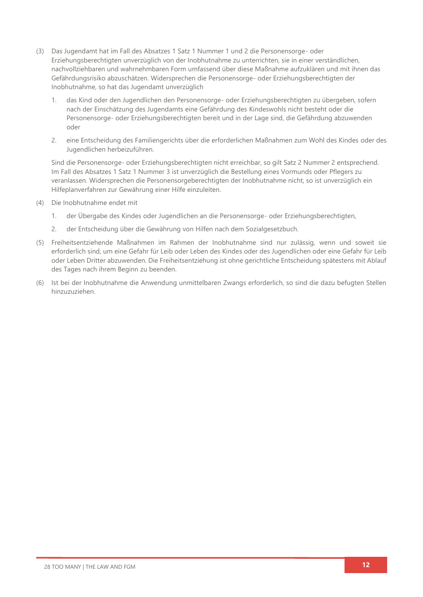- (3) Das Jugendamt hat im Fall des Absatzes 1 Satz 1 Nummer 1 und 2 die Personensorge- oder Erziehungsberechtigten unverzüglich von der Inobhutnahme zu unterrichten, sie in einer verständlichen, nachvollziehbaren und wahrnehmbaren Form umfassend über diese Maßnahme aufzuklären und mit ihnen das Gefährdungsrisiko abzuschätzen. Widersprechen die Personensorge- oder Erziehungsberechtigten der Inobhutnahme, so hat das Jugendamt unverzüglich
	- 1. das Kind oder den Jugendlichen den Personensorge- oder Erziehungsberechtigten zu übergeben, sofern nach der Einschätzung des Jugendamts eine Gefährdung des Kindeswohls nicht besteht oder die Personensorge- oder Erziehungsberechtigten bereit und in der Lage sind, die Gefährdung abzuwenden oder
	- 2. eine Entscheidung des Familiengerichts über die erforderlichen Maßnahmen zum Wohl des Kindes oder des Jugendlichen herbeizuführen.

Sind die Personensorge- oder Erziehungsberechtigten nicht erreichbar, so gilt Satz 2 Nummer 2 entsprechend. Im Fall des Absatzes 1 Satz 1 Nummer 3 ist unverzüglich die Bestellung eines Vormunds oder Pflegers zu veranlassen. Widersprechen die Personensorgeberechtigten der Inobhutnahme nicht, so ist unverzüglich ein Hilfeplanverfahren zur Gewährung einer Hilfe einzuleiten.

- (4) Die Inobhutnahme endet mit
	- 1. der Übergabe des Kindes oder Jugendlichen an die Personensorge- oder Erziehungsberechtigten,
	- 2. der Entscheidung über die Gewährung von Hilfen nach dem Sozialgesetzbuch.
- (5) Freiheitsentziehende Maßnahmen im Rahmen der Inobhutnahme sind nur zulässig, wenn und soweit sie erforderlich sind, um eine Gefahr für Leib oder Leben des Kindes oder des Jugendlichen oder eine Gefahr für Leib oder Leben Dritter abzuwenden. Die Freiheitsentziehung ist ohne gerichtliche Entscheidung spätestens mit Ablauf des Tages nach ihrem Beginn zu beenden.
- (6) Ist bei der Inobhutnahme die Anwendung unmittelbaren Zwangs erforderlich, so sind die dazu befugten Stellen hinzuzuziehen.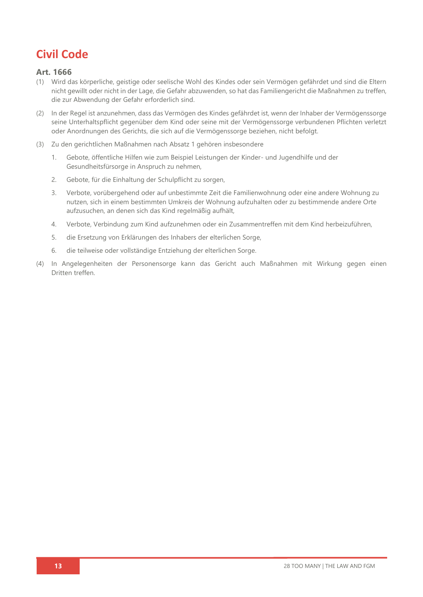## **Civil Code**

#### **Art. 1666**

- (1) Wird das körperliche, geistige oder seelische Wohl des Kindes oder sein Vermögen gefährdet und sind die Eltern nicht gewillt oder nicht in der Lage, die Gefahr abzuwenden, so hat das Familiengericht die Maßnahmen zu treffen, die zur Abwendung der Gefahr erforderlich sind.
- (2) In der Regel ist anzunehmen, dass das Vermögen des Kindes gefährdet ist, wenn der Inhaber der Vermögenssorge seine Unterhaltspflicht gegenüber dem Kind oder seine mit der Vermögenssorge verbundenen Pflichten verletzt oder Anordnungen des Gerichts, die sich auf die Vermögenssorge beziehen, nicht befolgt.
- (3) Zu den gerichtlichen Maßnahmen nach Absatz 1 gehören insbesondere
	- 1. Gebote, öffentliche Hilfen wie zum Beispiel Leistungen der Kinder- und Jugendhilfe und der Gesundheitsfürsorge in Anspruch zu nehmen,
	- 2. Gebote, für die Einhaltung der Schulpflicht zu sorgen,
	- 3. Verbote, vorübergehend oder auf unbestimmte Zeit die Familienwohnung oder eine andere Wohnung zu nutzen, sich in einem bestimmten Umkreis der Wohnung aufzuhalten oder zu bestimmende andere Orte aufzusuchen, an denen sich das Kind regelmäßig aufhält,
	- 4. Verbote, Verbindung zum Kind aufzunehmen oder ein Zusammentreffen mit dem Kind herbeizuführen,
	- 5. die Ersetzung von Erklärungen des Inhabers der elterlichen Sorge,
	- 6. die teilweise oder vollständige Entziehung der elterlichen Sorge.
- (4) In Angelegenheiten der Personensorge kann das Gericht auch Maßnahmen mit Wirkung gegen einen Dritten treffen.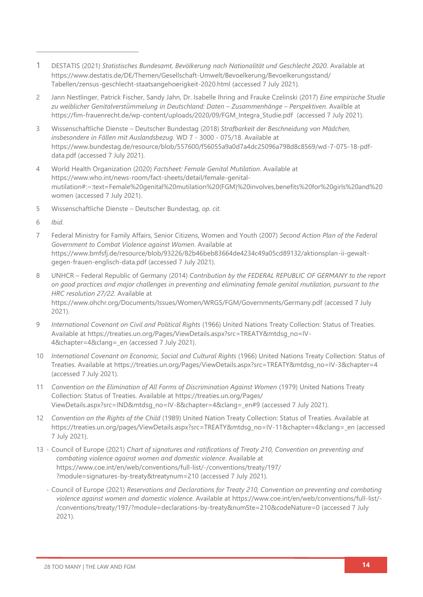- 1 DESTATIS (2021) *Statistisches Bundesamt, Bevölkerung nach Nationalität und Geschlecht 2020.* Available at [https://www.destatis.de/DE/Themen/Gesellschaft-Umwelt/Bevoelkerung/Bevoelkerungsstand/](https://www.destatis.de/DE/Themen/Gesellschaft-Umwelt/Bevoelkerung/Bevoelkerungsstand/Tabellen/zensus-geschlecht-staatsangehoerigkeit-2020.html) [Tabellen/zensus-geschlecht-staatsangehoerigkeit-2020.html](https://www.destatis.de/DE/Themen/Gesellschaft-Umwelt/Bevoelkerung/Bevoelkerungsstand/Tabellen/zensus-geschlecht-staatsangehoerigkeit-2020.html) (accessed 7 July 2021).
- 2 Jann Nestlinger, Patrick Fischer, Sandy Jahn, Dr. Isabelle Ihring and Frauke Czelinski (2017) *Eine empirische Studie zu weiblicher Genitalverstü̈mmelung in Deutschland: Daten – Zusammenhänge – Perspektiven*. Availble at [https://fim-frauenrecht.de/wp-content/uploads/2020/09/FGM\\_Integra\\_Studie.pdf](https://fim-frauenrecht.de/wp-content/uploads/2020/09/FGM_Integra_Studie.pdf) (accessed 7 July 2021).
- 3 Wissenschaftliche Dienste Deutscher Bundestag (2018) *Strafbarkeit der Beschneidung von Mädchen, insbesondere in Fällen mit Auslandsbezug.* WD 7 - 3000 - 075/18. Available at [https://www.bundestag.de/resource/blob/557600/f56055a9a0d7a4dc25096a798d8c8569/wd-7-075-18-pdf](https://www.bundestag.de/resource/blob/557600/f56055a9a0d7a4dc25096a798d8c8569/wd-7-075-18-pdf-data.pdf)[data.pdf](https://www.bundestag.de/resource/blob/557600/f56055a9a0d7a4dc25096a798d8c8569/wd-7-075-18-pdf-data.pdf) (accessed 7 July 2021).
- 4 World Health Organization (2020) *Factsheet: Female Genital Mutilation*. Available at [https://www.who.int/news-room/fact-sheets/detail/female-genital](https://www.who.int/news-room/fact-sheets/detail/female-genital-mutilation#:~:text=Female%20genital%20mutilation%20(FGM)%20involves,benefits%20for%20girls%20and%20women)[mutilation#:~:text=Female%20genital%20mutilation%20\(FGM\)%20involves,benefits%20for%20girls%20and%20](https://www.who.int/news-room/fact-sheets/detail/female-genital-mutilation#:~:text=Female%20genital%20mutilation%20(FGM)%20involves,benefits%20for%20girls%20and%20women) [women](https://www.who.int/news-room/fact-sheets/detail/female-genital-mutilation#:~:text=Female%20genital%20mutilation%20(FGM)%20involves,benefits%20for%20girls%20and%20women) (accessed 7 July 2021).
- 5 Wissenschaftliche Dienste Deutscher Bundestag, *op. cit.*
- 6 *Ibid*.
- 7 Federal Ministry for Family Affairs, Senior Citizens, Women and Youth (2007) *Second Action Plan of the Federal Government to Combat Violence against Women*. Available at [https://www.bmfsfj.de/resource/blob/93226/82b46beb83664de4234c49a05cd89132/aktionsplan-ii-gewalt](https://www.bmfsfj.de/resource/blob/93226/82b46beb83664de4234c49a05cd89132/aktionsplan-ii-gewalt-gegen-frauen-englisch-data.pdf)[gegen-frauen-englisch-data.pdf](https://www.bmfsfj.de/resource/blob/93226/82b46beb83664de4234c49a05cd89132/aktionsplan-ii-gewalt-gegen-frauen-englisch-data.pdf) (accessed 7 July 2021).
- 8 UNHCR Federal Republic of Germany (2014) *Contribution by the FEDERAL REPUBLIC OF GERMANY to the report on good practices and major challenges in preventing and eliminating female genital mutilation, pursuant to the HRC resolution 27/22*. Available at <https://www.ohchr.org/Documents/Issues/Women/WRGS/FGM/Governments/Germany.pdf> (accessed 7 July 2021).
- 9 *International Covenant on Civil and Political Rights* (1966) United Nations Treaty Collection: Status of Treaties*.* Available at [https://treaties.un.org/Pages/ViewDetails.aspx?src=TREATY&mtdsg\\_no=IV-](https://treaties.un.org/Pages/ViewDetails.aspx?src=TREATY&mtdsg_no=IV-4&chapter=4&clang=_en)[4&chapter=4&clang=\\_en](https://treaties.un.org/Pages/ViewDetails.aspx?src=TREATY&mtdsg_no=IV-4&chapter=4&clang=_en) (accessed 7 July 2021).
- 10 *International Covenant on Economic, Social and Cultural Rights* (1966) United Nations Treaty Collection: Status of Treaties. Available at [https://treaties.un.org/Pages/ViewDetails.aspx?src=TREATY&mtdsg\\_no=IV-3&chapter=4](https://treaties.un.org/Pages/ViewDetails.aspx?src=TREATY&mtdsg_no=IV-3&chapter=4) (accessed 7 July 2021).
- 11 *Convention on the Elimination of All Forms of Discrimination Against Women (1979) United Nations Treaty* Collection: Status of Treaties. Available at [https://treaties.un.org/Pages/](https://treaties.un.org/Pages/%0bViewDetails.aspx?src=IND&mtdsg_no=IV-8&chapter=4&clang=_en#9) [ViewDetails.aspx?src=IND&mtdsg\\_no=IV-8&chapter=4&clang=\\_en#9](https://treaties.un.org/Pages/%0bViewDetails.aspx?src=IND&mtdsg_no=IV-8&chapter=4&clang=_en#9) (accessed 7 July 2021).
- 12 *Convention on the Rights of the Child* (1989) United Nation Treaty Collection: Status of Treaties. Available at [https://treaties.un.org/pages/ViewDetails.aspx?src=TREATY&mtdsg\\_no=IV-11&chapter=4&clang=\\_en](https://treaties.un.org/pages/ViewDetails.aspx?src=TREATY&mtdsg_no=IV-11&chapter=4&clang=_en) (accessed 7 July 2021).
- 13 Council of Europe (2021) *Chart of signatures and ratifications of Treaty 210, Convention on preventing and combating violence against women and domestic violence*. Available at [https://www.coe.int/en/web/conventions/full-list/-/conventions/treaty/197/](https://www.coe.int/en/web/conventions/full-list/-/conventions/treaty/197/?module=signatures-by-treaty&treatynum=210) [?module=signatures-by-treaty&treatynum=210](https://www.coe.int/en/web/conventions/full-list/-/conventions/treaty/197/?module=signatures-by-treaty&treatynum=210) (accessed 7 July 2021).
	- Council of Europe (2021) *Reservations and Declarations for Treaty 210, Convention on preventing and combating violence against women and domestic violence*. Available at [https://www.coe.int/en/web/conventions/full-list/-](https://www.coe.int/en/web/conventions/full-list/-/conventions/treaty/197/?module=declarations-by-treaty&numSte=210&codeNature=0) [/conventions/treaty/197/?module=declarations-by-treaty&numSte=210&codeNature=0](https://www.coe.int/en/web/conventions/full-list/-/conventions/treaty/197/?module=declarations-by-treaty&numSte=210&codeNature=0) (accessed 7 July 2021).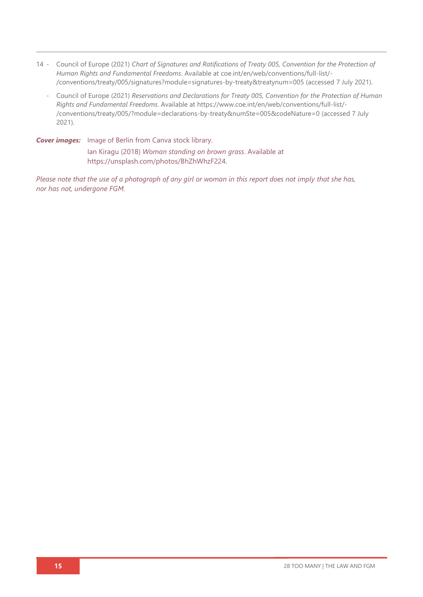- 14 Council of Europe (2021) *Chart of Signatures and Ratifications of Treaty 005, Convention for the Protection of Human Rights and Fundamental Freedoms*. Available at [coe.int/en/web/conventions/full-list/-](file:///C:/Users/Danica/Desktop/Law%20Reports/coe.int/en/web/conventions/full-list/-/conventions/treaty/005/signatures) [/conventions/treaty/005/signatures?module=signatures-by-treaty&treatynum=005](file:///C:/Users/Danica/Desktop/Law%20Reports/coe.int/en/web/conventions/full-list/-/conventions/treaty/005/signatures) (accessed 7 July 2021).
	- Council of Europe (2021) *Reservations and Declarations for Treaty 005, Convention for the Protection of Human Rights and Fundamental Freedoms*. Available at [https://www.coe.int/en/web/conventions/full-list/-](https://www.coe.int/en/web/conventions/full-list/-/conventions/treaty/005/?module=declarations-by-treaty&numSte=005&codeNature=0) [/conventions/treaty/005/?module=declarations-by-treaty&numSte=005&codeNature=0](https://www.coe.int/en/web/conventions/full-list/-/conventions/treaty/005/?module=declarations-by-treaty&numSte=005&codeNature=0) (accessed 7 July 2021).

*Cover images:* Image of Berlin from Canva stock library. Ian Kiragu (2018) *Woman standing on brown grass*. Available at

[https://unsplash.com/photos/BhZhWhzF224.](https://unsplash.com/photos/BhZhWhzF224)

*Please note that the use of a photograph of any girl or woman in this report does not imply that she has, nor has not, undergone FGM.*